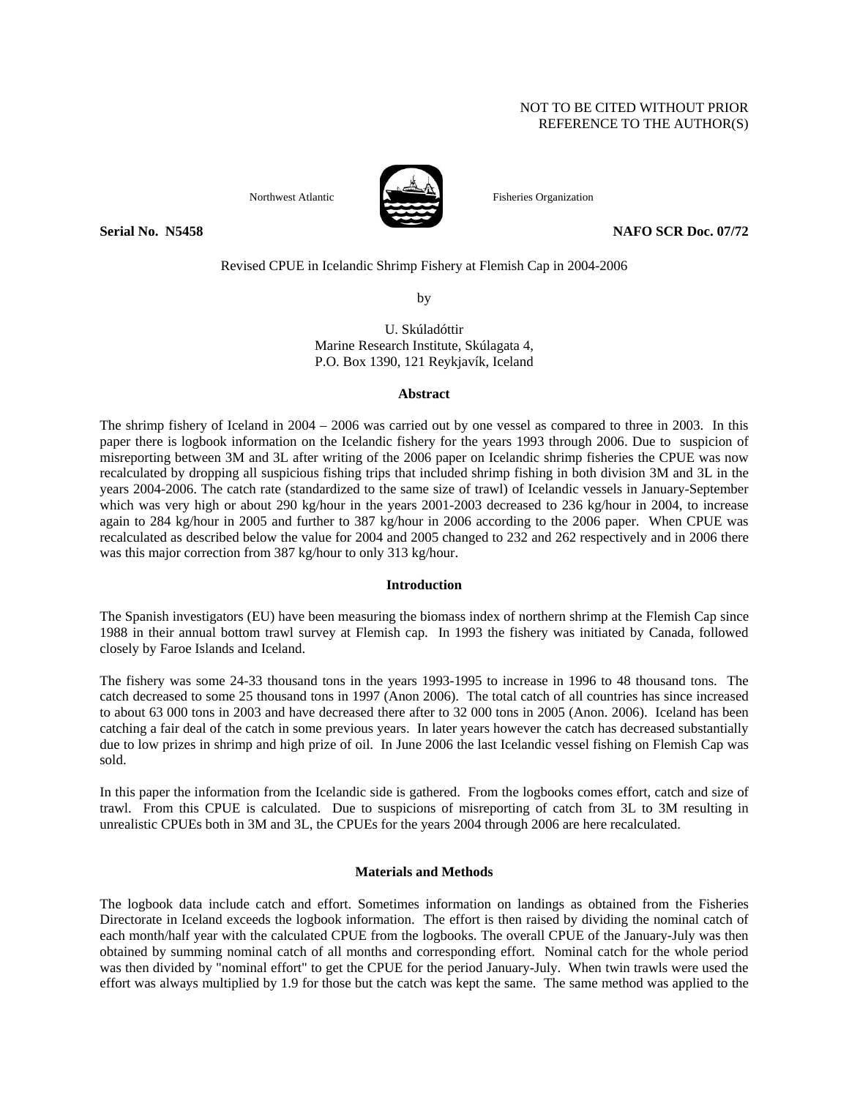# NOT TO BE CITED WITHOUT PRIOR REFERENCE TO THE AUTHOR(S)



Northwest Atlantic Fisheries Organization

**Serial No. 35458** NAFO SCR Doc. 07/72

Revised CPUE in Icelandic Shrimp Fishery at Flemish Cap in 2004-2006

by

U. Skúladóttir Marine Research Institute, Skúlagata 4, P.O. Box 1390, 121 Reykjavík, Iceland

#### **Abstract**

The shrimp fishery of Iceland in 2004 – 2006 was carried out by one vessel as compared to three in 2003. In this paper there is logbook information on the Icelandic fishery for the years 1993 through 2006. Due to suspicion of misreporting between 3M and 3L after writing of the 2006 paper on Icelandic shrimp fisheries the CPUE was now recalculated by dropping all suspicious fishing trips that included shrimp fishing in both division 3M and 3L in the years 2004-2006. The catch rate (standardized to the same size of trawl) of Icelandic vessels in January-September which was very high or about 290 kg/hour in the years 2001-2003 decreased to 236 kg/hour in 2004, to increase again to 284 kg/hour in 2005 and further to 387 kg/hour in 2006 according to the 2006 paper. When CPUE was recalculated as described below the value for 2004 and 2005 changed to 232 and 262 respectively and in 2006 there was this major correction from 387 kg/hour to only 313 kg/hour.

## **Introduction**

The Spanish investigators (EU) have been measuring the biomass index of northern shrimp at the Flemish Cap since 1988 in their annual bottom trawl survey at Flemish cap. In 1993 the fishery was initiated by Canada, followed closely by Faroe Islands and Iceland.

The fishery was some 24-33 thousand tons in the years 1993-1995 to increase in 1996 to 48 thousand tons. The catch decreased to some 25 thousand tons in 1997 (Anon 2006). The total catch of all countries has since increased to about 63 000 tons in 2003 and have decreased there after to 32 000 tons in 2005 (Anon. 2006). Iceland has been catching a fair deal of the catch in some previous years. In later years however the catch has decreased substantially due to low prizes in shrimp and high prize of oil. In June 2006 the last Icelandic vessel fishing on Flemish Cap was sold.

In this paper the information from the Icelandic side is gathered. From the logbooks comes effort, catch and size of trawl. From this CPUE is calculated. Due to suspicions of misreporting of catch from 3L to 3M resulting in unrealistic CPUEs both in 3M and 3L, the CPUEs for the years 2004 through 2006 are here recalculated.

# **Materials and Methods**

The logbook data include catch and effort. Sometimes information on landings as obtained from the Fisheries Directorate in Iceland exceeds the logbook information. The effort is then raised by dividing the nominal catch of each month/half year with the calculated CPUE from the logbooks. The overall CPUE of the January-July was then obtained by summing nominal catch of all months and corresponding effort. Nominal catch for the whole period was then divided by "nominal effort" to get the CPUE for the period January-July. When twin trawls were used the effort was always multiplied by 1.9 for those but the catch was kept the same. The same method was applied to the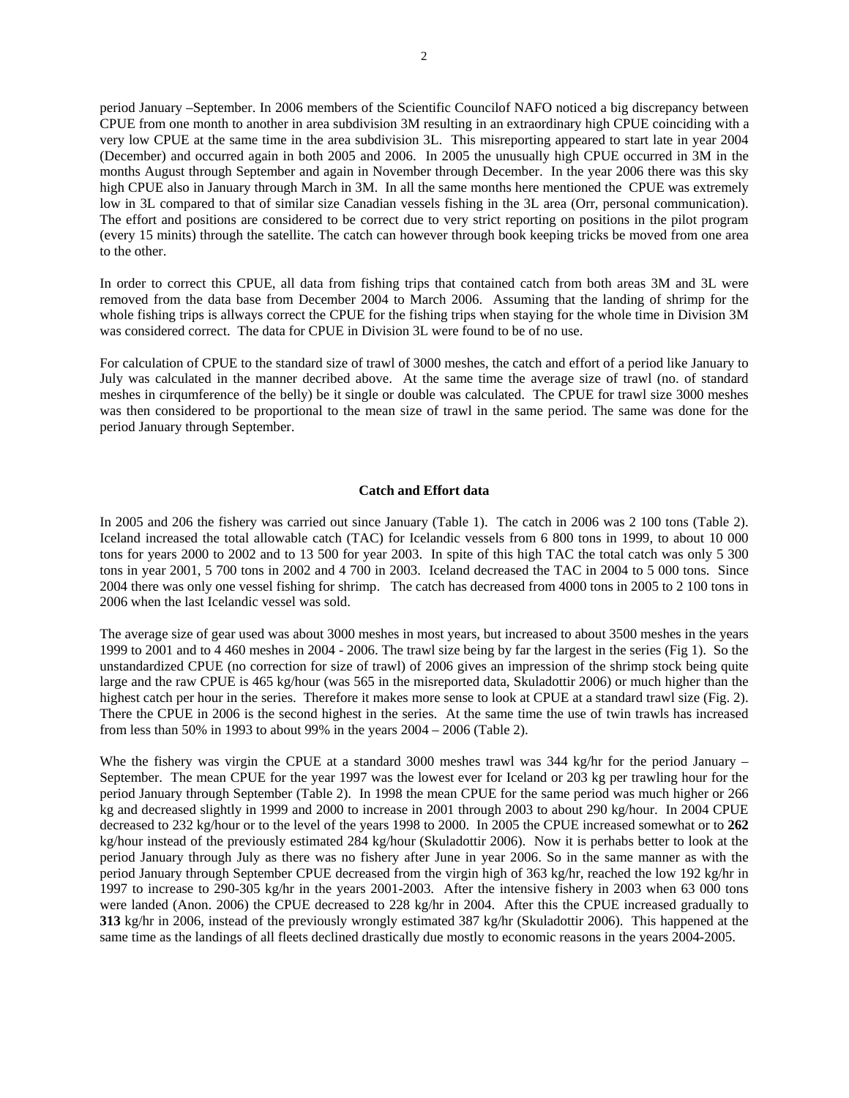period January –September. In 2006 members of the Scientific Councilof NAFO noticed a big discrepancy between CPUE from one month to another in area subdivision 3M resulting in an extraordinary high CPUE coinciding with a very low CPUE at the same time in the area subdivision 3L. This misreporting appeared to start late in year 2004 (December) and occurred again in both 2005 and 2006. In 2005 the unusually high CPUE occurred in 3M in the months August through September and again in November through December. In the year 2006 there was this sky high CPUE also in January through March in 3M. In all the same months here mentioned the CPUE was extremely low in 3L compared to that of similar size Canadian vessels fishing in the 3L area (Orr, personal communication). The effort and positions are considered to be correct due to very strict reporting on positions in the pilot program (every 15 minits) through the satellite. The catch can however through book keeping tricks be moved from one area to the other.

In order to correct this CPUE, all data from fishing trips that contained catch from both areas 3M and 3L were removed from the data base from December 2004 to March 2006. Assuming that the landing of shrimp for the whole fishing trips is allways correct the CPUE for the fishing trips when staying for the whole time in Division 3M was considered correct. The data for CPUE in Division 3L were found to be of no use.

For calculation of CPUE to the standard size of trawl of 3000 meshes, the catch and effort of a period like January to July was calculated in the manner decribed above. At the same time the average size of trawl (no. of standard meshes in cirqumference of the belly) be it single or double was calculated. The CPUE for trawl size 3000 meshes was then considered to be proportional to the mean size of trawl in the same period. The same was done for the period January through September.

#### **Catch and Effort data**

In 2005 and 206 the fishery was carried out since January (Table 1). The catch in 2006 was 2 100 tons (Table 2). Iceland increased the total allowable catch (TAC) for Icelandic vessels from 6 800 tons in 1999, to about 10 000 tons for years 2000 to 2002 and to 13 500 for year 2003. In spite of this high TAC the total catch was only 5 300 tons in year 2001, 5 700 tons in 2002 and 4 700 in 2003. Iceland decreased the TAC in 2004 to 5 000 tons. Since 2004 there was only one vessel fishing for shrimp. The catch has decreased from 4000 tons in 2005 to 2 100 tons in 2006 when the last Icelandic vessel was sold.

The average size of gear used was about 3000 meshes in most years, but increased to about 3500 meshes in the years 1999 to 2001 and to 4 460 meshes in 2004 - 2006. The trawl size being by far the largest in the series (Fig 1). So the unstandardized CPUE (no correction for size of trawl) of 2006 gives an impression of the shrimp stock being quite large and the raw CPUE is 465 kg/hour (was 565 in the misreported data, Skuladottir 2006) or much higher than the highest catch per hour in the series. Therefore it makes more sense to look at CPUE at a standard trawl size (Fig. 2). There the CPUE in 2006 is the second highest in the series. At the same time the use of twin trawls has increased from less than 50% in 1993 to about 99% in the years 2004 – 2006 (Table 2).

Whe the fishery was virgin the CPUE at a standard 3000 meshes trawl was 344 kg/hr for the period January – September. The mean CPUE for the year 1997 was the lowest ever for Iceland or 203 kg per trawling hour for the period January through September (Table 2). In 1998 the mean CPUE for the same period was much higher or 266 kg and decreased slightly in 1999 and 2000 to increase in 2001 through 2003 to about 290 kg/hour. In 2004 CPUE decreased to 232 kg/hour or to the level of the years 1998 to 2000. In 2005 the CPUE increased somewhat or to **262** kg/hour instead of the previously estimated 284 kg/hour (Skuladottir 2006). Now it is perhabs better to look at the period January through July as there was no fishery after June in year 2006. So in the same manner as with the period January through September CPUE decreased from the virgin high of 363 kg/hr, reached the low 192 kg/hr in 1997 to increase to 290-305 kg/hr in the years 2001-2003. After the intensive fishery in 2003 when 63 000 tons were landed (Anon. 2006) the CPUE decreased to 228 kg/hr in 2004. After this the CPUE increased gradually to **313** kg/hr in 2006, instead of the previously wrongly estimated 387 kg/hr (Skuladottir 2006). This happened at the same time as the landings of all fleets declined drastically due mostly to economic reasons in the years 2004-2005.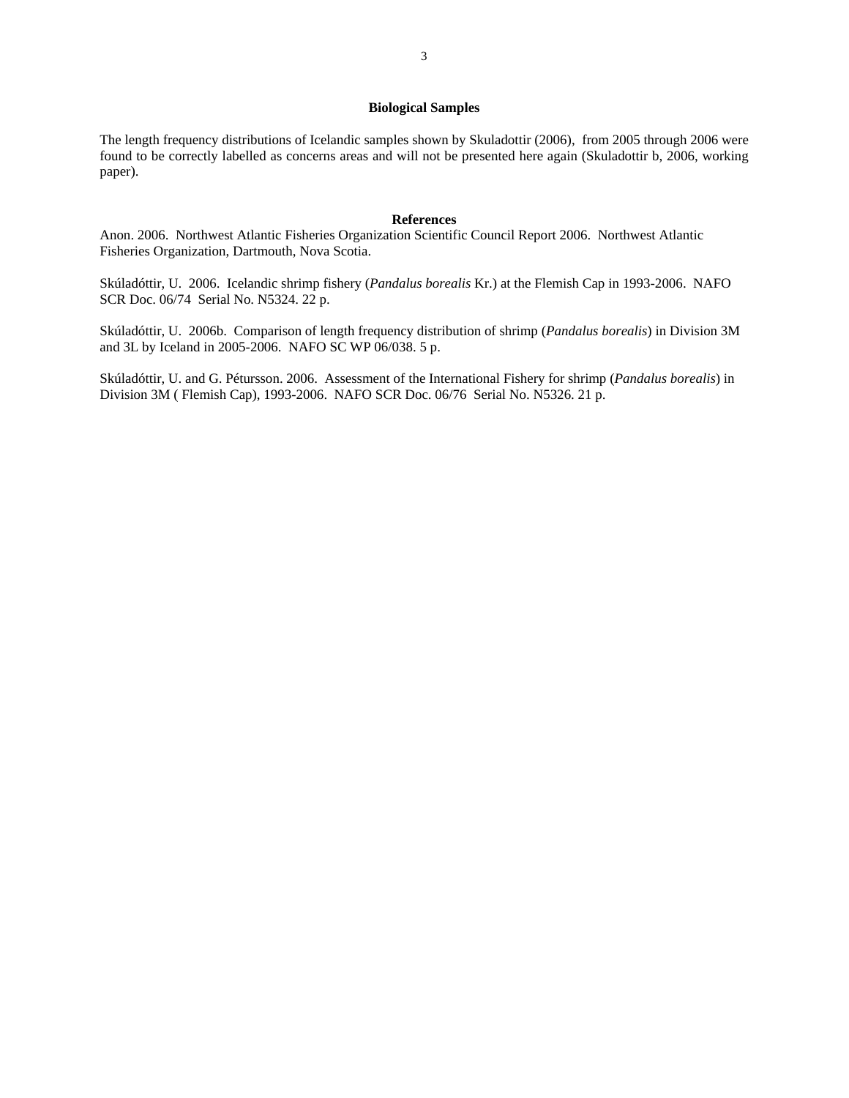## **Biological Samples**

The length frequency distributions of Icelandic samples shown by Skuladottir (2006), from 2005 through 2006 were found to be correctly labelled as concerns areas and will not be presented here again (Skuladottir b, 2006, working paper).

#### **References**

Anon. 2006. Northwest Atlantic Fisheries Organization Scientific Council Report 2006. Northwest Atlantic Fisheries Organization, Dartmouth, Nova Scotia.

Skúladóttir, U. 2006. Icelandic shrimp fishery (*Pandalus borealis* Kr.) at the Flemish Cap in 1993-2006. NAFO SCR Doc. 06/74 Serial No. N5324. 22 p.

Skúladóttir, U. 2006b. Comparison of length frequency distribution of shrimp (*Pandalus borealis*) in Division 3M and 3L by Iceland in 2005-2006. NAFO SC WP 06/038. 5 p.

Skúladóttir, U. and G. Pétursson. 2006. Assessment of the International Fishery for shrimp (*Pandalus borealis*) in Division 3M ( Flemish Cap), 1993-2006. NAFO SCR Doc. 06/76 Serial No. N5326. 21 p.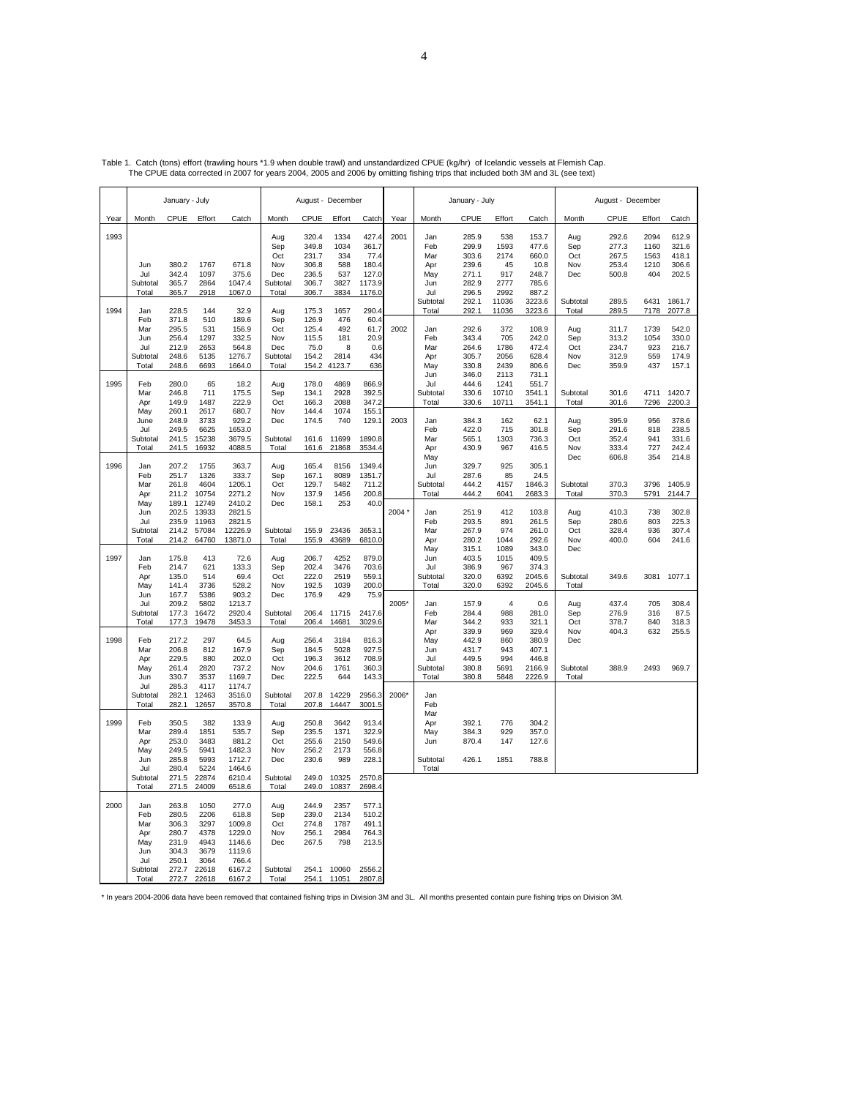|      | January - July                                |                                                             |                                                      |                                                                 | August - December                           |                                                   |                                        |                                             | January - July |                                               |                                           | August - December                   |                                             |                                   |                                           |                                    |                                            |
|------|-----------------------------------------------|-------------------------------------------------------------|------------------------------------------------------|-----------------------------------------------------------------|---------------------------------------------|---------------------------------------------------|----------------------------------------|---------------------------------------------|----------------|-----------------------------------------------|-------------------------------------------|-------------------------------------|---------------------------------------------|-----------------------------------|-------------------------------------------|------------------------------------|--------------------------------------------|
| Year | Month                                         | CPUE                                                        | Effort                                               | Catch                                                           | Month                                       | CPUE                                              | Effort                                 | Catch                                       | Year           | Month                                         | CPUE                                      | Effort                              | Catch                                       | Month                             | CPUE                                      | Effort                             | Catch                                      |
| 1993 | Jun                                           | 380.2                                                       | 1767                                                 | 671.8                                                           | Aug<br>Sep<br>Oct<br>Nov                    | 320.4<br>349.8<br>231.7<br>306.8                  | 1334<br>1034<br>334<br>588             | 427.4<br>361.7<br>77.4<br>180.4             | 2001           | <b>Jan</b><br>Feb<br>Mar<br>Apr               | 285.9<br>299.9<br>303.6<br>239.6          | 538<br>1593<br>2174<br>45           | 153.7<br>477.6<br>660.0<br>10.8             | Aug<br>Sep<br>Oct<br>Nov          | 292.6<br>277.3<br>267.5<br>253.4          | 2094<br>1160<br>1563<br>1210       | 612.9<br>321.6<br>418.1<br>306.6           |
|      | Jul<br>Subtotal<br>Total                      | 342.4<br>365.7<br>365.7                                     | 1097<br>2864<br>2918                                 | 375.6<br>1047.4<br>1067.0                                       | Dec<br>Subtotal<br>Total                    | 236.5<br>306.7<br>306.7                           | 537<br>3827<br>3834                    | 127.0<br>1173.9<br>1176.0                   |                | May<br>Jun<br>Jul<br>Subtotal                 | 271.1<br>282.9<br>296.5<br>292.1          | 917<br>2777<br>2992<br>11036        | 248.7<br>785.6<br>887.2<br>3223.6           | Dec<br>Subtotal                   | 500.8<br>289.5                            | 404<br>6431                        | 202.5<br>1861.7                            |
| 1994 | Jan<br>Feb<br>Mar<br>Jun<br>Jul<br>Subtotal   | 228.5<br>371.8<br>295.5<br>256.4<br>212.9<br>248.6          | 144<br>510<br>531<br>1297<br>2653<br>5135            | 32.9<br>189.6<br>156.9<br>332.5<br>564.8<br>1276.7              | Aug<br>Sep<br>Oct<br>Nov<br>Dec<br>Subtotal | 175.3<br>126.9<br>125.4<br>115.5<br>75.0<br>154.2 | 1657<br>476<br>492<br>181<br>8<br>2814 | 290.4<br>60.4<br>61.7<br>20.9<br>0.6<br>434 | 2002           | Total<br>Jan<br>Feb<br>Mar<br>Apr             | 292.1<br>292.6<br>343.4<br>264.6<br>305.7 | 11036<br>372<br>705<br>1786<br>2056 | 3223.6<br>108.9<br>242.0<br>472.4<br>628.4  | Total<br>Aug<br>Sep<br>Oct<br>Nov | 289.5<br>311.7<br>313.2<br>234.7<br>312.9 | 7178<br>1739<br>1054<br>923<br>559 | 2077.8<br>542.0<br>330.0<br>216.7<br>174.9 |
| 1995 | Total<br>Feb<br>Mar                           | 248.6<br>280.0<br>246.8                                     | 6693<br>65<br>711                                    | 1664.0<br>18.2<br>175.5                                         | Total<br>Aug<br>Sep                         | 154.2<br>178.0<br>134.1                           | 4123.7<br>4869<br>2928                 | 636<br>866.9<br>392.5                       |                | May<br>Jun<br>Jul<br>Subtotal                 | 330.8<br>346.0<br>444.6<br>330.6          | 2439<br>2113<br>1241<br>10710       | 806.6<br>731.1<br>551.7<br>3541.1           | Dec<br>Subtotal                   | 359.9<br>301.6                            | 437<br>4711                        | 157.1<br>1420.7                            |
|      | Apr<br>May<br>June<br>Jul                     | 149.9<br>260.1<br>248.9<br>249.5                            | 1487<br>2617<br>3733<br>6625                         | 222.9<br>680.7<br>929.2<br>1653.0                               | Oct<br>Nov<br>Dec                           | 166.3<br>144.4<br>174.5                           | 2088<br>1074<br>740                    | 347.2<br>155.1<br>129.1                     | 2003           | Total<br>Jan<br>Feb                           | 330.6<br>384.3<br>422.0                   | 10711<br>162<br>715                 | 3541.1<br>62.1<br>301.8                     | Total<br>Aug<br>Sep               | 301.6<br>395.9<br>291.6                   | 7296<br>956<br>818                 | 2200.3<br>378.6<br>238.5                   |
| 1996 | Subtotal<br>Total                             | 241.5<br>241.5<br>207.2                                     | 15238<br>16932<br>1755                               | 3679.5<br>4088.5<br>363.7                                       | Subtotal<br>Total                           | 161.6<br>161.6<br>165.4                           | 11699<br>21868<br>8156                 | 1890.8<br>3534.4<br>1349.4                  |                | Mar<br>Apr<br>May<br>Jun                      | 565.1<br>430.9<br>329.7                   | 1303<br>967<br>925                  | 736.3<br>416.5<br>305.1                     | Oct<br>Nov<br>Dec                 | 352.4<br>333.4<br>606.8                   | 941<br>727<br>354                  | 331.6<br>242.4<br>214.8                    |
|      | Jan<br>Feb<br>Mar<br>Apr                      | 251.7<br>261.8<br>211.2                                     | 1326<br>4604<br>10754                                | 333.7<br>1205.1<br>2271.2                                       | Aug<br>Sep<br>Oct<br>Nov                    | 167.1<br>129.7<br>137.9                           | 8089<br>5482<br>1456                   | 1351.7<br>711.2<br>200.8                    |                | Jul<br>Subtotal<br>Total                      | 287.6<br>444.2<br>444.2                   | 85<br>4157<br>6041                  | 24.5<br>1846.3<br>2683.3                    | Subtotal<br>Total                 | 370.3<br>370.3                            | 3796<br>5791                       | 1405.9<br>2144.7                           |
|      | May<br>Jun<br>Jul<br>Subtotal<br>Total        | 189.1<br>202.5<br>235.9<br>214.2<br>214.2                   | 12749<br>13933<br>11963<br>57084<br>64760            | 2410.2<br>2821.5<br>2821.5<br>12226.9<br>13871.0                | Dec<br>Subtotal<br>Total                    | 158.1<br>155.9<br>155.9                           | 253<br>23436<br>43689                  | 40.0<br>3653.1<br>6810.0                    | 2004           | Jan<br>Feb<br>Mar<br>Apr                      | 251.9<br>293.5<br>267.9<br>280.2          | 412<br>891<br>974<br>1044           | 103.8<br>261.5<br>261.0<br>292.6            | Aug<br>Sep<br>Oct<br>Nov          | 410.3<br>280.6<br>328.4<br>400.0          | 738<br>803<br>936<br>604           | 302.8<br>225.3<br>307.4<br>241.6           |
| 1997 | Jan<br>Feb<br>Apr<br>May                      | 175.8<br>214.7<br>135.0<br>141.4                            | 413<br>621<br>514<br>3736                            | 72.6<br>133.3<br>69.4<br>528.2                                  | Aug<br>Sep<br>Oct<br>Nov                    | 206.7<br>202.4<br>222.0<br>192.5                  | 4252<br>3476<br>2519<br>1039           | 879.0<br>703.6<br>559.1<br>200.0            |                | May<br>Jun<br>Jul<br>Subtotal<br>Total        | 315.1<br>403.5<br>386.9<br>320.0<br>320.0 | 1089<br>1015<br>967<br>6392<br>6392 | 343.0<br>409.5<br>374.3<br>2045.6<br>2045.6 | Dec<br>Subtotal<br>Total          | 349.6                                     | 3081                               | 1077.1                                     |
|      | Jun<br>Jul<br>Subtotal<br>Total               | 167.7<br>209.2<br>177.3<br>177.3                            | 5386<br>5802<br>16472<br>19478                       | 903.2<br>1213.7<br>2920.4<br>3453.3                             | Dec<br>Subtotal<br>Total                    | 176.9<br>206.4<br>206.4                           | 429<br>11715<br>14681                  | 75.9<br>2417.6<br>3029.6                    | 2005*          | Jan<br>Feb<br>Mar                             | 157.9<br>284.4<br>344.2                   | $\overline{4}$<br>988<br>933        | 0.6<br>281.0<br>321.1                       | Aug<br>Sep<br>Oct                 | 437.4<br>276.9<br>378.7                   | 705<br>316<br>840                  | 308.4<br>87.5<br>318.3                     |
| 1998 | Feb<br>Mar<br>Apr<br>May                      | 217.2<br>206.8<br>229.5<br>261.4                            | 297<br>812<br>880<br>2820                            | 64.5<br>167.9<br>202.0<br>737.2                                 | Aug<br>Sep<br>Oct<br>Nov                    | 256.4<br>184.5<br>196.3<br>204.6                  | 3184<br>5028<br>3612<br>1761           | 816.3<br>927.5<br>708.9<br>360.3            |                | Apr<br>May<br>Jun<br>Jul<br>Subtotal          | 339.9<br>442.9<br>431.7<br>449.5<br>380.8 | 969<br>860<br>943<br>994<br>5691    | 329.4<br>380.9<br>407.1<br>446.8<br>2166.9  | Nov<br>Dec<br>Subtotal            | 404.3<br>388.9                            | 632<br>2493                        | 255.5<br>969.7                             |
|      | Jun<br>Jul<br>Subtotal<br>Total               | 330.7<br>285.3<br>282.1<br>282.1                            | 3537<br>4117<br>12463<br>12657                       | 1169.7<br>1174.7<br>3516.0<br>3570.8                            | Dec<br>Subtotal<br>Total                    | 222.5<br>207.8<br>207.8                           | 644<br>14229<br>14447                  | 143.3<br>2956.3<br>3001.5                   | 2006*          | Total<br>Jan<br>Feb                           | 380.8                                     | 5848                                | 2226.9                                      | Total                             |                                           |                                    |                                            |
| 1999 | Feb<br>Mar<br>Apr<br>May<br>Jun<br>Jul        | 350.5<br>289.4<br>253.0<br>249.5<br>285.8<br>280.4          | 382<br>1851<br>3483<br>5941<br>5993<br>5224          | 133.9<br>535.7<br>881.2<br>1482.3<br>1712.7<br>1464.6           | Aug<br>Sep<br>Oct<br>Nov<br>Dec             | 250.8<br>235.5<br>255.6<br>256.2<br>230.6         | 3642<br>1371<br>2150<br>2173<br>989    | 913.4<br>322.9<br>549.6<br>556.8<br>228.1   |                | Mar<br>Apr<br>May<br>Jun<br>Subtotal<br>Total | 392.1<br>384.3<br>870.4<br>426.1          | 776<br>929<br>147<br>1851           | 304.2<br>357.0<br>127.6<br>788.8            |                                   |                                           |                                    |                                            |
|      | Subtotal<br>Total                             | 271.5<br>271.5                                              | 22874<br>24009                                       | 6210.4<br>6518.6                                                | Subtotal<br>Total                           | 249.0<br>249.0                                    | 10325<br>10837                         | 2570.8<br>2698.4                            |                |                                               |                                           |                                     |                                             |                                   |                                           |                                    |                                            |
| 2000 | Jan<br>Feb<br>Mar<br>Apr<br>May<br>Jun<br>Jul | 263.8<br>280.5<br>306.3<br>280.7<br>231.9<br>304.3<br>250.1 | 1050<br>2206<br>3297<br>4378<br>4943<br>3679<br>3064 | 277.0<br>618.8<br>1009.8<br>1229.0<br>1146.6<br>1119.6<br>766.4 | Aug<br>Sep<br>Oct<br>Nov<br>Dec             | 244.9<br>239.0<br>274.8<br>256.1<br>267.5         | 2357<br>2134<br>1787<br>2984<br>798    | 577.1<br>510.2<br>491.1<br>764.3<br>213.5   |                |                                               |                                           |                                     |                                             |                                   |                                           |                                    |                                            |
|      | Subtotal<br>Total                             | 272.7<br>272.7                                              | 22618<br>22618                                       | 6167.2<br>6167.2                                                | Subtotal<br>Total                           | 254.1<br>254.1                                    | 10060<br>11051                         | 2556.2<br>28078                             |                |                                               |                                           |                                     |                                             |                                   |                                           |                                    |                                            |

Table 1. Catch (tons) effort (trawling hours \*1.9 when double trawl) and unstandardized CPUE (kg/hr) of Icelandic vessels at Flemish Cap.<br>The CPUE data corrected in 2007 for years 2004, 2005 and 2006 by omitting fishing

\* In years 2004-2006 data have been removed that contained fishing trips in Division 3M and 3L. All months presented contain pure fishing trips on Division 3M.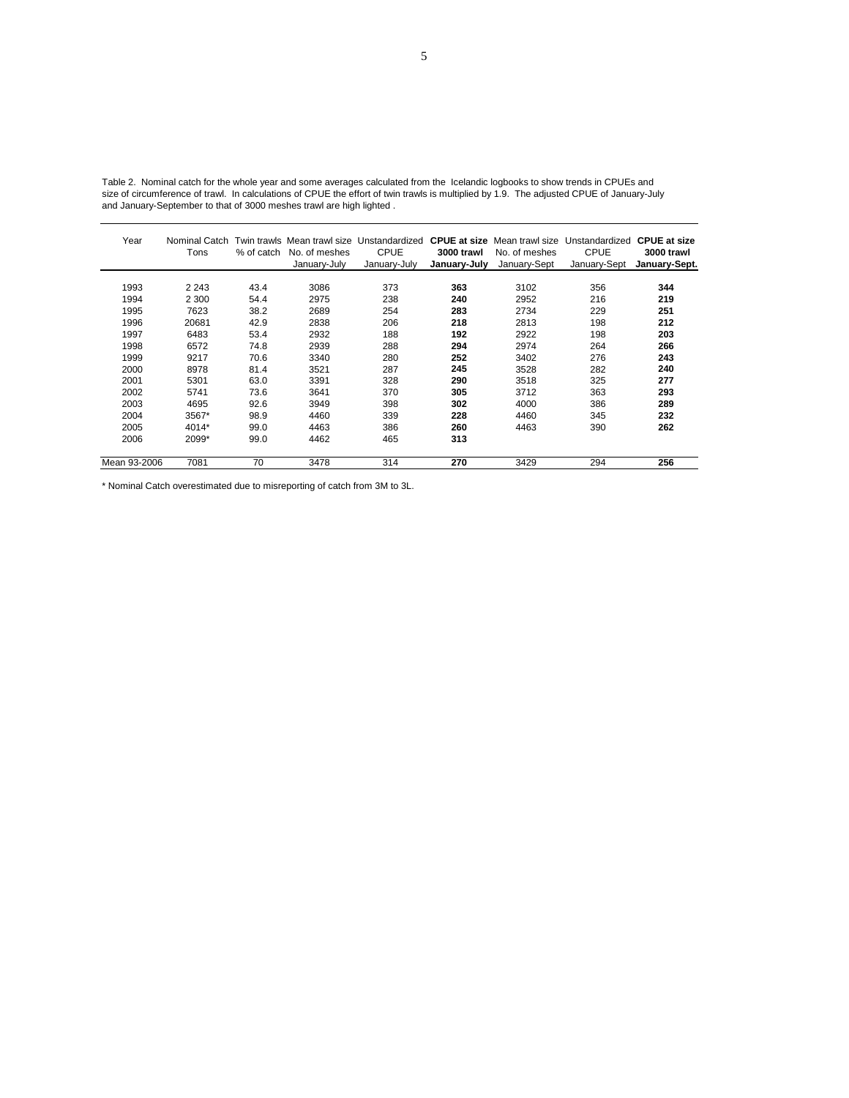| Year         | Nominal Catch<br>Tons | % of catch | No. of meshes<br>January-July | Twin trawls Mean trawl size Unstandardized<br><b>CPUE</b><br>January-July | 3000 trawl<br>January-July | No. of meshes<br>January-Sept | <b>CPUE at size</b> Mean trawl size Unstandardized<br><b>CPUE</b><br>January-Sept | <b>CPUE at size</b><br>3000 trawl<br>January-Sept. |
|--------------|-----------------------|------------|-------------------------------|---------------------------------------------------------------------------|----------------------------|-------------------------------|-----------------------------------------------------------------------------------|----------------------------------------------------|
| 1993         | 2 2 4 3               | 43.4       | 3086                          | 373                                                                       | 363                        | 3102                          | 356                                                                               | 344                                                |
| 1994         | 2 3 0 0               | 54.4       | 2975                          | 238                                                                       | 240                        | 2952                          | 216                                                                               | 219                                                |
| 1995         | 7623                  | 38.2       | 2689                          | 254                                                                       | 283                        | 2734                          | 229                                                                               | 251                                                |
| 1996         | 20681                 | 42.9       | 2838                          | 206                                                                       | 218                        | 2813                          | 198                                                                               | 212                                                |
| 1997         | 6483                  | 53.4       | 2932                          | 188                                                                       | 192                        | 2922                          | 198                                                                               | 203                                                |
| 1998         | 6572                  | 74.8       | 2939                          | 288                                                                       | 294                        | 2974                          | 264                                                                               | 266                                                |
| 1999         | 9217                  | 70.6       | 3340                          | 280                                                                       | 252                        | 3402                          | 276                                                                               | 243                                                |
| 2000         | 8978                  | 81.4       | 3521                          | 287                                                                       | 245                        | 3528                          | 282                                                                               | 240                                                |
| 2001         | 5301                  | 63.0       | 3391                          | 328                                                                       | 290                        | 3518                          | 325                                                                               | 277                                                |
| 2002         | 5741                  | 73.6       | 3641                          | 370                                                                       | 305                        | 3712                          | 363                                                                               | 293                                                |
| 2003         | 4695                  | 92.6       | 3949                          | 398                                                                       | 302                        | 4000                          | 386                                                                               | 289                                                |
| 2004         | $3567*$               | 98.9       | 4460                          | 339                                                                       | 228                        | 4460                          | 345                                                                               | 232                                                |
| 2005         | 4014*                 | 99.0       | 4463                          | 386                                                                       | 260                        | 4463                          | 390                                                                               | 262                                                |
| 2006         | 2099*                 | 99.0       | 4462                          | 465                                                                       | 313                        |                               |                                                                                   |                                                    |
| Mean 93-2006 | 7081                  | 70         | 3478                          | 314                                                                       | 270                        | 3429                          | 294                                                                               | 256                                                |

Table 2. Nominal catch for the whole year and some averages calculated from the Icelandic logbooks to show trends in CPUEs and size of circumference of trawl. In calculations of CPUE the effort of twin trawls is multiplied by 1.9. The adjusted CPUE of January-July and January-September to that of 3000 meshes trawl are high lighted .

\* Nominal Catch overestimated due to misreporting of catch from 3M to 3L.